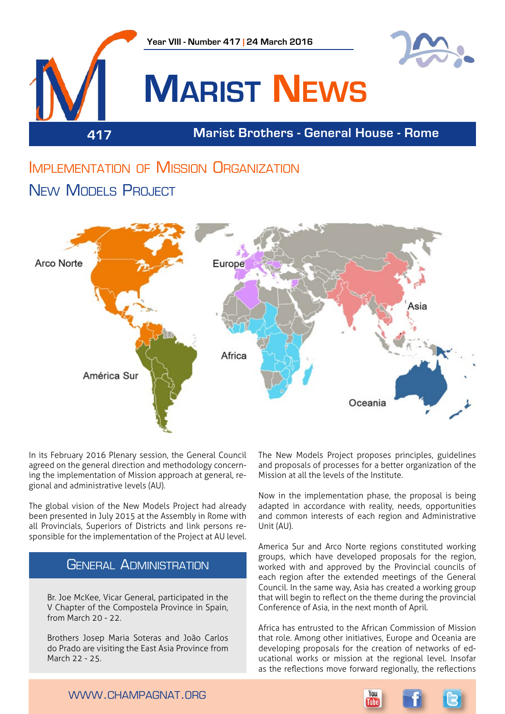

# Implementation of Mission Organization NEW MODELS PROJECT



In its February 2016 Plenary session, the General Council agreed on the general direction and methodology concerning the implementation of Mission approach at general, regional and administrative levels (AU).

The global vision of the New Models Project had already been presented in July 2015 at the Assembly in Rome with all Provincials, Superiors of Districts and link persons responsible for the implementation of the Project at AU level.

## General Administration

Br. Joe McKee, Vicar General, participated in the V Chapter of the Compostela Province in Spain, from March 20 - 22.

Brothers Josep Maria Soteras and João Carlos do Prado are visiting the East Asia Province from March 22 - 25.

The New Models Project proposes principles, guidelines and proposals of processes for a better organization of the Mission at all the levels of the Institute.

Now in the implementation phase, the proposal is being adapted in accordance with reality, needs, opportunities and common interests of each region and Administrative Unit (AU).

America Sur and Arco Norte regions constituted working groups, which have developed proposals for the region, worked with and approved by the Provincial councils of each region after the extended meetings of the General Council. In the same way, Asia has created a working group that will begin to reflect on the theme during the provincial Conference of Asia, in the next month of April.

Africa has entrusted to the African Commission of Mission that role. Among other initiatives, Europe and Oceania are developing proposals for the creation of networks of educational works or mission at the regional level. Insofar as the reflections move forward regionally, the reflections

www.champagnat.org

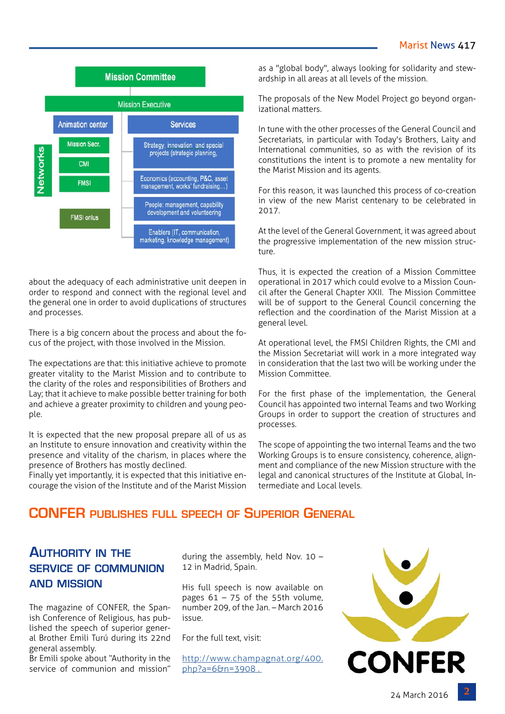

about the adequacy of each administrative unit deepen in order to respond and connect with the regional level and the general one in order to avoid duplications of structures and processes.

There is a big concern about the process and about the focus of the project, with those involved in the Mission.

The expectations are that: this initiative achieve to promote greater vitality to the Marist Mission and to contribute to the clarity of the roles and responsibilities of Brothers and Lay; that it achieve to make possible better training for both and achieve a greater proximity to children and young people.

It is expected that the new proposal prepare all of us as an Institute to ensure innovation and creativity within the presence and vitality of the charism, in places where the presence of Brothers has mostly declined.

Finally yet importantly, it is expected that this initiative encourage the vision of the Institute and of the Marist Mission as a "global body", always looking for solidarity and stewardship in all areas at all levels of the mission.

The proposals of the New Model Project go beyond organizational matters.

In tune with the other processes of the General Council and Secretariats, in particular with Today's Brothers, Laity and International communities, so as with the revision of its constitutions the intent is to promote a new mentality for the Marist Mission and its agents.

For this reason, it was launched this process of co-creation in view of the new Marist centenary to be celebrated in 2017.

At the level of the General Government, it was agreed about the progressive implementation of the new mission structure.

Thus, it is expected the creation of a Mission Committee operational in 2017 which could evolve to a Mission Council after the General Chapter XXII. The Mission Committee will be of support to the General Council concerning the reflection and the coordination of the Marist Mission at a general level.

At operational level, the FMSI Children Rights, the CMI and the Mission Secretariat will work in a more integrated way in consideration that the last two will be working under the Mission Committee.

For the first phase of the implementation, the General Council has appointed two internal Teams and two Working Groups in order to support the creation of structures and processes.

The scope of appointing the two internal Teams and the two Working Groups is to ensure consistency, coherence, alignment and compliance of the new Mission structure with the legal and canonical structures of the Institute at Global, Intermediate and Local levels.

## **CONFER publishes full speech of Superior General**

## **Authority in the service of communion and mission**

The magazine of CONFER, the Spanish Conference of Religious, has published the speech of superior general Brother Emili Turú during its 22nd general assembly.

Br Emili spoke about "Authority in the service of communion and mission"

during the assembly, held Nov. 10 – 12 in Madrid, Spain.

His full speech is now available on pages  $61 - 75$  of the 55th volume, number 209, of the Jan. – March 2016 issue.

For the full text, visit:

[http://www.champagnat.org/400.](http://www.champagnat.org/400.php?a=6&n=3908 . ) [php?a=6&n=3908 .](http://www.champagnat.org/400.php?a=6&n=3908 . ) 

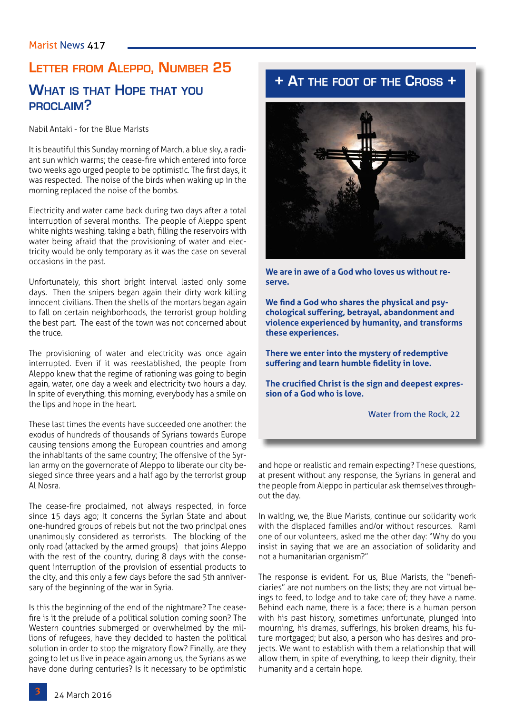**proclaim?**

# **Letter from Aleppo, Number 25 What is that Hope that you**

Nabil Antaki - for the Blue Marists

It is beautiful this Sunday morning of March, a blue sky, a radiant sun which warms; the cease-fire which entered into force two weeks ago urged people to be optimistic. The first days, it was respected. The noise of the birds when waking up in the morning replaced the noise of the bombs.

Electricity and water came back during two days after a total interruption of several months. The people of Aleppo spent white nights washing, taking a bath, filling the reservoirs with water being afraid that the provisioning of water and electricity would be only temporary as it was the case on several occasions in the past.

Unfortunately, this short bright interval lasted only some days. Then the snipers began again their dirty work killing innocent civilians. Then the shells of the mortars began again to fall on certain neighborhoods, the terrorist group holding the best part. The east of the town was not concerned about the truce.

The provisioning of water and electricity was once again interrupted. Even if it was reestablished, the people from Aleppo knew that the regime of rationing was going to begin again, water, one day a week and electricity two hours a day. In spite of everything, this morning, everybody has a smile on the lips and hope in the heart.

These last times the events have succeeded one another: the exodus of hundreds of thousands of Syrians towards Europe causing tensions among the European countries and among the inhabitants of the same country; The offensive of the Syrian army on the governorate of Aleppo to liberate our city besieged since three years and a half ago by the terrorist group Al Nosra.

The cease-fire proclaimed, not always respected, in force since 15 days ago; It concerns the Syrian State and about one-hundred groups of rebels but not the two principal ones unanimously considered as terrorists. The blocking of the only road (attacked by the armed groups) that joins Aleppo with the rest of the country, during 8 days with the consequent interruption of the provision of essential products to the city, and this only a few days before the sad 5th anniversary of the beginning of the war in Syria.

Is this the beginning of the end of the nightmare? The ceasefire is it the prelude of a political solution coming soon? The Western countries submerged or overwhelmed by the millions of refugees, have they decided to hasten the political solution in order to stop the migratory flow? Finally, are they going to let us live in peace again among us, the Syrians as we have done during centuries? Is it necessary to be optimistic

# **+ At the foot of the Cross +**



**We are in awe of a God who loves us without reserve.** 

**We find a God who shares the physical and psychological suffering, betrayal, abandonment and violence experienced by humanity, and transforms these experiences.** 

**There we enter into the mystery of redemptive suffering and learn humble fidelity in love.** 

**The crucified Christ is the sign and deepest expression of a God who is love.**

Water from the Rock, 22

and hope or realistic and remain expecting? These questions, at present without any response, the Syrians in general and the people from Aleppo in particular ask themselves throughout the day.

In waiting, we, the Blue Marists, continue our solidarity work with the displaced families and/or without resources. Rami one of our volunteers, asked me the other day: "Why do you insist in saying that we are an association of solidarity and not a humanitarian organism?"

The response is evident. For us, Blue Marists, the "beneficiaries" are not numbers on the lists; they are not virtual beings to feed, to lodge and to take care of; they have a name. Behind each name, there is a face; there is a human person with his past history, sometimes unfortunate, plunged into mourning, his dramas, sufferings, his broken dreams, his future mortgaged; but also, a person who has desires and projects. We want to establish with them a relationship that will allow them, in spite of everything, to keep their dignity, their humanity and a certain hope.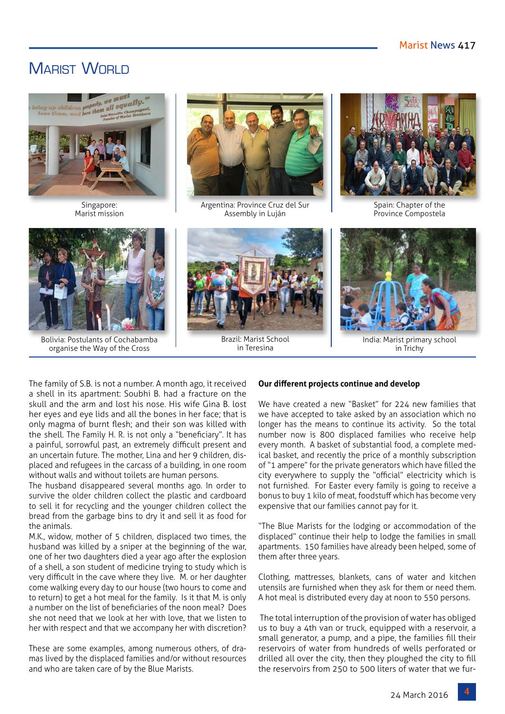# MARIST WORLD



Singapore: Marist mission



Argentina: Province Cruz del Sur Assembly in Luján



Spain: Chapter of the Province Compostela



Bolivia: Postulants of Cochabamba organise the Way of the Cross



Brazil: Marist School in Teresina



India: Marist primary school in Trichy

The family of S.B. is not a number. A month ago, it received a shell in its apartment: Soubhi B. had a fracture on the skull and the arm and lost his nose. His wife Gina B. lost her eyes and eye lids and all the bones in her face; that is only magma of burnt flesh; and their son was killed with the shell. The Family H. R. is not only a "beneficiary". It has a painful, sorrowful past, an extremely difficult present and an uncertain future. The mother, Lina and her 9 children, displaced and refugees in the carcass of a building, in one room without walls and without toilets are human persons.

The husband disappeared several months ago. In order to survive the older children collect the plastic and cardboard to sell it for recycling and the younger children collect the bread from the garbage bins to dry it and sell it as food for the animals.

M.K., widow, mother of 5 children, displaced two times, the husband was killed by a sniper at the beginning of the war, one of her two daughters died a year ago after the explosion of a shell, a son student of medicine trying to study which is very difficult in the cave where they live. M. or her daughter come walking every day to our house (two hours to come and to return) to get a hot meal for the family. Is it that M. is only a number on the list of beneficiaries of the noon meal? Does she not need that we look at her with love, that we listen to her with respect and that we accompany her with discretion?

These are some examples, among numerous others, of dramas lived by the displaced families and/or without resources and who are taken care of by the Blue Marists.

#### **Our different projects continue and develop**

We have created a new "Basket" for 224 new families that we have accepted to take asked by an association which no longer has the means to continue its activity. So the total number now is 800 displaced families who receive help every month. A basket of substantial food, a complete medical basket, and recently the price of a monthly subscription of "1 ampere" for the private generators which have filled the city everywhere to supply the "official" electricity which is not furnished. For Easter every family is going to receive a bonus to buy 1 kilo of meat, foodstuff which has become very expensive that our families cannot pay for it.

"The Blue Marists for the lodging or accommodation of the displaced" continue their help to lodge the families in small apartments. 150 families have already been helped, some of them after three years.

Clothing, mattresses, blankets, cans of water and kitchen utensils are furnished when they ask for them or need them. A hot meal is distributed every day at noon to 550 persons.

 The total interruption of the provision of water has obliged us to buy a 4th van or truck, equipped with a reservoir, a small generator, a pump, and a pipe, the families fill their reservoirs of water from hundreds of wells perforated or drilled all over the city, then they ploughed the city to fill the reservoirs from 250 to 500 liters of water that we fur-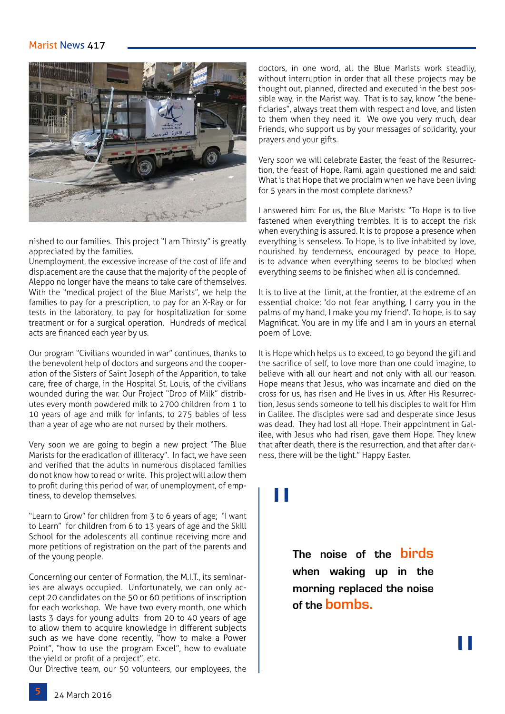#### Marist News 417



nished to our families. This project "I am Thirsty" is greatly appreciated by the families.

Unemployment, the excessive increase of the cost of life and displacement are the cause that the majority of the people of Aleppo no longer have the means to take care of themselves. With the "medical project of the Blue Marists", we help the families to pay for a prescription, to pay for an X-Ray or for tests in the laboratory, to pay for hospitalization for some treatment or for a surgical operation. Hundreds of medical acts are financed each year by us.

Our program "Civilians wounded in war" continues, thanks to the benevolent help of doctors and surgeons and the cooperation of the Sisters of Saint Joseph of the Apparition, to take care, free of charge, in the Hospital St. Louis, of the civilians wounded during the war. Our Project "Drop of Milk" distributes every month powdered milk to 2700 children from 1 to 10 years of age and milk for infants, to 275 babies of less than a year of age who are not nursed by their mothers.

Very soon we are going to begin a new project "The Blue Marists for the eradication of illiteracy". In fact, we have seen and verified that the adults in numerous displaced families do not know how to read or write. This project will allow them to profit during this period of war, of unemployment, of emptiness, to develop themselves.

"Learn to Grow" for children from 3 to 6 years of age; "I want to Learn" for children from 6 to 13 years of age and the Skill School for the adolescents all continue receiving more and more petitions of registration on the part of the parents and of the young people.

Concerning our center of Formation, the M.I.T., its seminaries are always occupied. Unfortunately, we can only accept 20 candidates on the 50 or 60 petitions of inscription for each workshop. We have two every month, one which lasts 3 days for young adults from 20 to 40 years of age to allow them to acquire knowledge in different subjects such as we have done recently, "how to make a Power Point", "how to use the program Excel", how to evaluate the yield or profit of a project", etc.

Our Directive team, our 50 volunteers, our employees, the

doctors, in one word, all the Blue Marists work steadily, without interruption in order that all these projects may be thought out, planned, directed and executed in the best possible way, in the Marist way. That is to say, know "the beneficiaries", always treat them with respect and love, and listen to them when they need it. We owe you very much, dear Friends, who support us by your messages of solidarity, your prayers and your gifts.

Very soon we will celebrate Easter, the feast of the Resurrection, the feast of Hope. Rami, again questioned me and said: What is that Hope that we proclaim when we have been living for 5 years in the most complete darkness?

I answered him: For us, the Blue Marists: "To Hope is to live fastened when everything trembles. It is to accept the risk when everything is assured. It is to propose a presence when everything is senseless. To Hope, is to live inhabited by love, nourished by tenderness, encouraged by peace to Hope, is to advance when everything seems to be blocked when everything seems to be finished when all is condemned.

It is to live at the limit, at the frontier, at the extreme of an essential choice: 'do not fear anything, I carry you in the palms of my hand, I make you my friend'. To hope, is to say Magnificat. You are in my life and I am in yours an eternal poem of Love.

It is Hope which helps us to exceed, to go beyond the gift and the sacrifice of self, to love more than one could imagine, to believe with all our heart and not only with all our reason. Hope means that Jesus, who was incarnate and died on the cross for us, has risen and He lives in us. After His Resurrection, Jesus sends someone to tell his disciples to wait for Him in Galilee. The disciples were sad and desperate since Jesus was dead. They had lost all Hope. Their appointment in Galilee, with Jesus who had risen, gave them Hope. They knew that after death, there is the resurrection, and that after darkness, there will be the light." Happy Easter.

# "

**The noise of the birds when waking up in the morning replaced the noise of the bombs.**

"